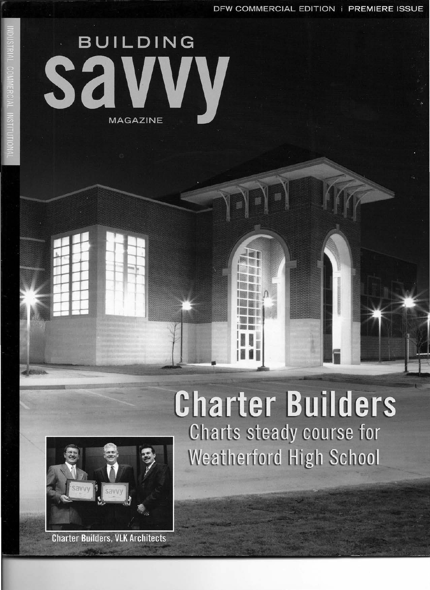DFW COMMERCIAL EDITION | PREMIERE ISSUE

# **BUILDING MAGAZINE**

## **Charter Builders** Charts steady course for **Weatherford High School**



**Charter Builders, VLK Architects**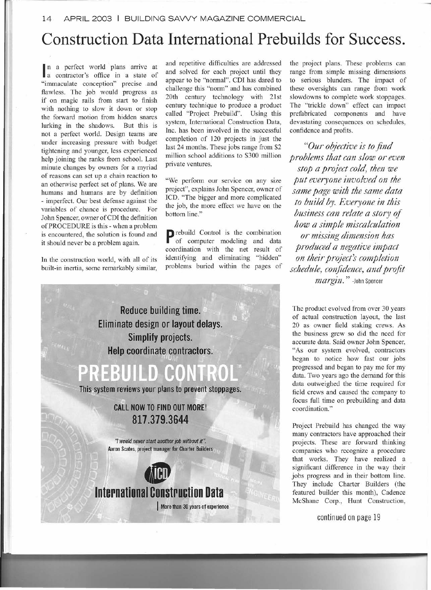## **Construction Data International Prebuilds for Success.**

n a perfect world plans arrive at<br>a contractor's office in a state of n a perfect world plans arrive at "immaculate conception" precise .and flawless. The job would progress as if on magic rails from start to finish with nothing to slow it down or stop the forward motion from hidden snares lurking in the shadows. But this is not a perfect world. Design teams are under increasing pressure with budget tightening and younger, less experienced help joining the ranks from school. Last minute changes by owners for a myriad of reasons can set up a chain reaction to an otherwise perfect set of plans. We are humans and humans are by definition - imperfect. Our best defense against the variables of chance is procedure. For John Spencer, owner of CDI the definition of PROCEDURE is this - when a problem is encountered, the solution is found and it should never be a problem again.

In the construction world, with all of its built-in inertia, some remarkably similar, and repetitive difficulties are addressed and solved for each project until they appear to be "normal". CDI has dared to challenge this "norm" and has combined 20th century technology with 21st century technique to produce a product called "Project Prebuild". Using this system, International Construction Data, Inc. has been involved in the successful completion of 120 projects in just the last 24 months. These jobs range from \$2 million school additions to \$300 million private ventures.

"We perform our service on any size project", explains John Spencer, owner of ICD. "The bigger and more complicated the job, the more effect we have on the bottom line."

**P** rebuild Control is the combination of computer modeling and data coordination with the net result of identifying and eliminating "hidden" problems buried within the pages of the project plans. These problems can range from simple missing dimensions to serious blunders. The impact of these oversights can range from work slowdowns to complete work stoppages. The "trickle down" effect can impact prefabricated components and have devastating consequences on schedules, confidence and profits.

*"Our objective is to find problems that can slow or even stop a project cold, then we put everyone involved on the same page with the same data to build by. Everyone in this business can relate a story of how a simple miscalculation or missing dimension has produced a negative impact on their project's completion schedule, confidence, and profit margin*." -John Spence



**817.379.3644**

*"I would never start another job without it':* Aaron Scates, project manager for Charter Builders



I More than 30 years of experience

The product evolved from over 30 years of actual construction layout, the last 20 as owner field staking crews. As the business grew so did the need for accurate data. Said owner John Spencer, "As our system evolved, contractors began to notice how fast our jobs progressed and began to pay me for my data. Two years ago the demand for this data outweighed the time required for field crews and caused the company to focus full time on prebuilding and data coordination. "

Project Prebuild has changed the way many contractors have approached their projects. These are forward thinking companies who recognize a procedure that works. They have realized a significant difference in the way their jobs progress and in their bottom line. They include Charter Builders (the featured builder this month), Cadence McShane Corp., Hunt Construction,

continued on page 19